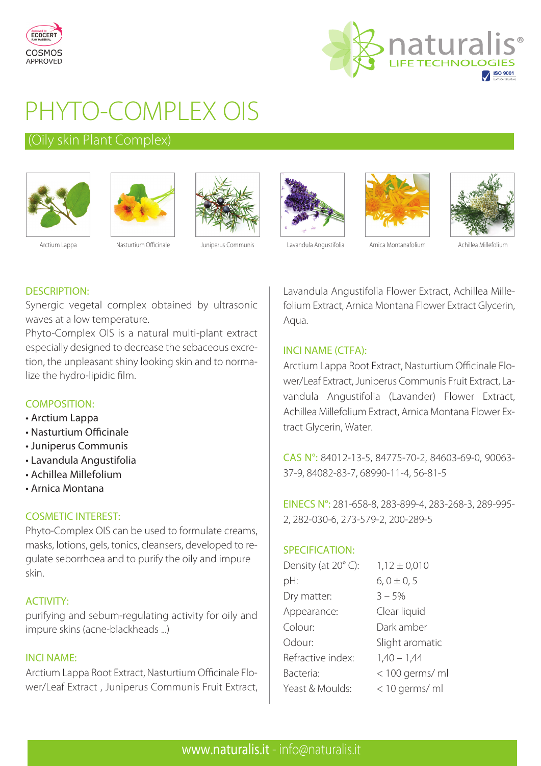



# PHYTO-COMPLEX OIS

### (Oily skin Plant Complex)













Arctium Lappa **Masturtium Officinale** Juniperus Communis Lavandula Angustifolia Arnica Montanafolium Achillea Millefolium

## DESCRIPTION:

Synergic vegetal complex obtained by ultrasonic waves at a low temperature.

Phyto-Complex OIS is a natural multi-plant extract especially designed to decrease the sebaceous excretion, the unpleasant shiny looking skin and to normalize the hydro-lipidic film.

### COMPOSITION:

- Arctium Lappa
- Nasturtium Officinale
- Juniperus Communis
- Lavandula Angustifolia
- Achillea Millefolium
- Arnica Montana

### COSMETIC INTEREST:

Phyto-Complex OIS can be used to formulate creams, masks, lotions, gels, tonics, cleansers, developed to regulate seborrhoea and to purify the oily and impure skin.

### ACTIVITY:

purifying and sebum-regulating activity for oily and impure skins (acne-blackheads ...)

### INCI NAME:

Arctium Lappa Root Extract, Nasturtium Officinale Flower/Leaf Extract , Juniperus Communis Fruit Extract, Lavandula Angustifolia Flower Extract, Achillea Millefolium Extract, Arnica Montana Flower Extract Glycerin, Aqua.

### INCI NAME (CTFA):

Arctium Lappa Root Extract, Nasturtium Officinale Flower/Leaf Extract, Juniperus Communis Fruit Extract, Lavandula Angustifolia (Lavander) Flower Extract, Achillea Millefolium Extract, Arnica Montana Flower Extract Glycerin, Water.

CAS N°: 84012-13-5, 84775-70-2, 84603-69-0, 90063- 37-9, 84082-83-7, 68990-11-4, 56-81-5

EINECS N°: 281-658-8, 283-899-4, 283-268-3, 289-995- 2, 282-030-6, 273-579-2, 200-289-5

### SPECIFICATION:

| Density (at 20°C): | $1,12 \pm 0,010$ |
|--------------------|------------------|
| pH:                | $6, 0 \pm 0, 5$  |
| Dry matter:        | $3 - 5%$         |
| Appearance:        | Clear liquid     |
| Colour:            | Dark amber       |
| Odour:             | Slight aromatic  |
| Refractive index:  | $1,40 - 1,44$    |
| Bacteria:          | < 100 germs/ ml  |
| Yeast & Moulds:    | < 10 germs/ ml   |